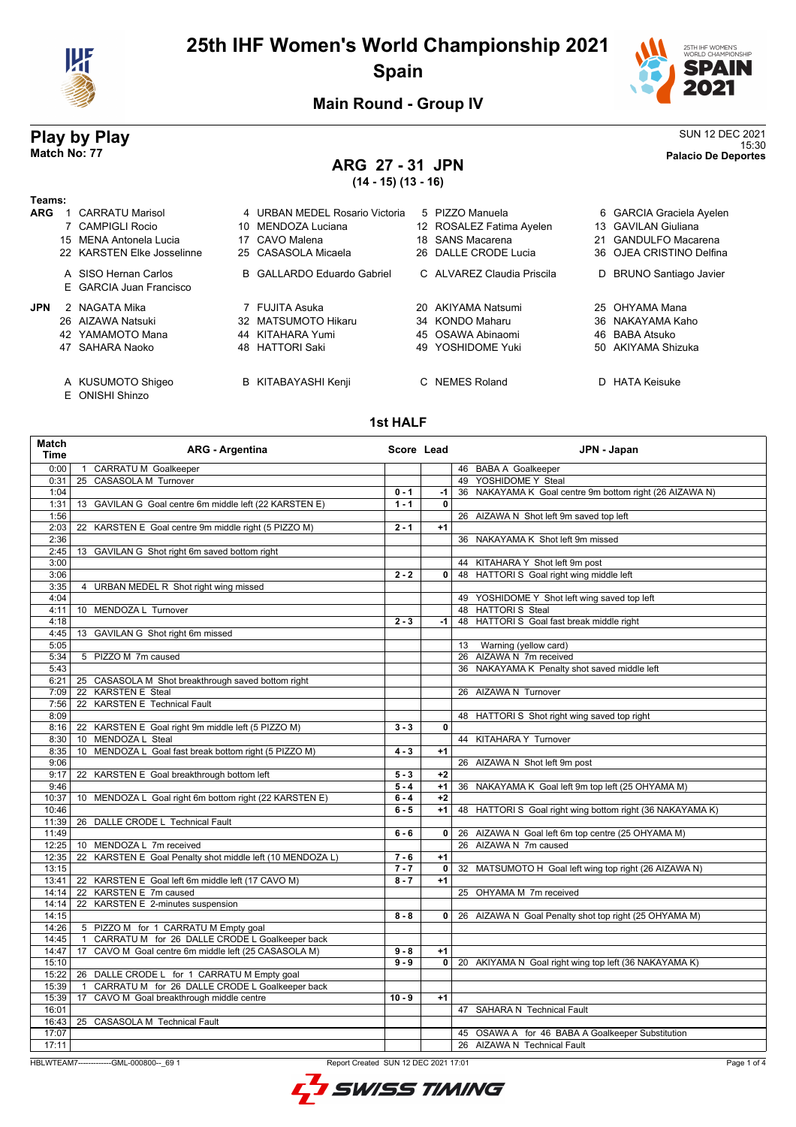



**Main Round - Group IV**

## **ARG 27 - 31 JPN (14 - 15) (13 - 16)**

**Play by Play** SUN 12 DEC 2021<br>Match No: 77 Play and the sum of the set of the set of the set of the set of the set of the set of the set of the set of the set of the set of the set of the set of the set of the set of the 15:30 **Match No: 77 Palacio De Deportes**

### **Teams: ARG** 1 CARRATU Marisol 4 URBAN MEDEL Rosario Victoria 5 PIZZO Manuela 6 GARCIA Graciela Ayelen<br>7 CAMPIGLI Rocio 10 MENDOZA Luciana 12 ROSALEZ Fatima Avelen 13 GAVILAN Giuliana 12 ROSALEZ Fatima Ayelen 15 MENA Antonela Lucia 17 CAVO Malena 18 SANS Macarena 21 GANDULFO Macarena 22 KARSTEN Elke Josselinne 25 CASASOLA Micaela 26 DALLE CRODE Lucia 36 OJEA CRISTINO Delfina A SISO Hernan Carlos **B** GALLARDO Eduardo Gabriel C ALVAREZ Claudia Priscila D BRUNO Santiago Javier E GARCIA Juan Francisco **JPN** 2 NAGATA Mika **20 AKIYAMA NATSUMA 20 AKIYAMA Natsumi** 25 OHYAMA Mana 26 AIZAWA Natsuki 32 MATSUMOTO Hikaru 34 KONDO Maharu 36 NAKAYAMA Kaho 42 YAMAMOTO Mana 44 KITAHARA Yumi 45 OSAWA Abinaomi 46 BABA Atsuko 47 SAHARA Naoko 48 HATTORI Saki 49 YOSHIDOME Yuki 50 AKIYAMA Shizuka

- A KUSUMOTO Shigeo B KITABAYASHI Kenji C NEMES Roland D HATA Keisuke
- E ONISHI Shinzo

#### **1st HALF**

| Match<br><b>Time</b> | <b>ARG - Argentina</b>                                                 | Score Lead |                | JPN - Japan                                               |
|----------------------|------------------------------------------------------------------------|------------|----------------|-----------------------------------------------------------|
| 0:00                 | 1 CARRATU M Goalkeeper                                                 |            |                | 46 BABA A Goalkeeper                                      |
| 0:31                 | 25 CASASOLA M Turnover                                                 |            |                | 49 YOSHIDOME Y Steal                                      |
| 1:04                 |                                                                        | $0 - 1$    | -1 l           | 36 NAKAYAMA K Goal centre 9m bottom right (26 AIZAWA N)   |
| 1:31                 | 13 GAVILAN G Goal centre 6m middle left (22 KARSTEN E)                 | $1 - 1$    | $\mathbf{0}$   |                                                           |
| 1:56                 |                                                                        |            |                | 26 AIZAWA N Shot left 9m saved top left                   |
| 2:03                 | 22 KARSTEN E Goal centre 9m middle right (5 PIZZO M)                   | $2 - 1$    | $+1$           |                                                           |
| 2:36                 |                                                                        |            |                | 36 NAKAYAMA K Shot left 9m missed                         |
| 2:45                 | 13 GAVILAN G Shot right 6m saved bottom right                          |            |                |                                                           |
| 3:00                 |                                                                        |            |                | 44 KITAHARA Y Shot left 9m post                           |
| 3:06                 |                                                                        | $2 - 2$    | 0 <sup>1</sup> | 48 HATTORI S Goal right wing middle left                  |
| 3:35                 | 4 URBAN MEDEL R Shot right wing missed                                 |            |                |                                                           |
| 4:04                 |                                                                        |            |                | 49 YOSHIDOME Y Shot left wing saved top left              |
| 4:11                 | 10 MENDOZA L Turnover                                                  |            |                | 48 HATTORIS Steal                                         |
| 4:18                 |                                                                        | $2 - 3$    | $-1$           | 48 HATTORI S Goal fast break middle right                 |
| 4:45                 | 13 GAVILAN G Shot right 6m missed                                      |            |                |                                                           |
| 5:05                 |                                                                        |            |                | Warning (yellow card)<br>13                               |
| 5:34                 | 5 PIZZO M 7m caused                                                    |            |                | 26 AIZAWA N 7m received                                   |
| 5:43                 |                                                                        |            |                | 36 NAKAYAMA K Penalty shot saved middle left              |
| 6:21                 | 25 CASASOLA M Shot breakthrough saved bottom right                     |            |                |                                                           |
| 7:09                 | 22 KARSTEN E Steal                                                     |            |                | 26 AIZAWA N Turnover                                      |
| 7:56                 | <b>KARSTEN E Technical Fault</b><br>22                                 |            |                |                                                           |
| 8:09                 |                                                                        |            |                | 48 HATTORI S Shot right wing saved top right              |
| 8:16                 | 22 KARSTEN E Goal right 9m middle left (5 PIZZO M)                     | $3 - 3$    | $\mathbf{0}$   |                                                           |
| 8:30                 | 10 MENDOZA L Steal                                                     |            |                | 44 KITAHARA Y Turnover                                    |
| 8:35                 | 10 MENDOZA L Goal fast break bottom right (5 PIZZO M)                  | $4 - 3$    | $+1$           |                                                           |
| 9:06                 |                                                                        |            |                | 26 AIZAWA N Shot left 9m post                             |
| 9:17                 | KARSTEN E Goal breakthrough bottom left<br>22                          | $5 - 3$    | $+2$           |                                                           |
| 9:46                 |                                                                        | $5 - 4$    | $+1$           | 36 NAKAYAMA K Goal left 9m top left (25 OHYAMA M)         |
| 10:37                | MENDOZA L Goal right 6m bottom right (22 KARSTEN E)<br>10 <sup>1</sup> | $6 - 4$    | $+2$           |                                                           |
| 10:46                |                                                                        | $6 - 5$    | $+1$           | 48 HATTORI S Goal right wing bottom right (36 NAKAYAMA K) |
| 11:39                | 26 DALLE CRODE L Technical Fault                                       |            |                |                                                           |
| 11:49                |                                                                        | $6 - 6$    | 0 <sup>1</sup> | 26 AIZAWA N Goal left 6m top centre (25 OHYAMA M)         |
| 12:25                | 10 MENDOZA L 7m received                                               |            |                | 26 AIZAWA N 7m caused                                     |
| 12:35                | KARSTEN E Goal Penalty shot middle left (10 MENDOZA L)<br>22           | $7 - 6$    | $+1$           |                                                           |
| 13:15                |                                                                        | $7 - 7$    |                | 0 32 MATSUMOTO H Goal left wing top right (26 AIZAWA N)   |
| 13:41                | 22 KARSTEN E Goal left 6m middle left (17 CAVO M)                      | $8 - 7$    | $+1$           |                                                           |
| 14:14                | 22 KARSTEN E 7m caused                                                 |            |                | 25 OHYAMA M 7m received                                   |
| 14:14                | 22 KARSTEN E 2-minutes suspension                                      |            |                |                                                           |
| 14:15                |                                                                        | $8 - 8$    |                | 0 26 AIZAWA N Goal Penalty shot top right (25 OHYAMA M)   |
| 14:26                | 5 PIZZO M for 1 CARRATU M Empty goal                                   |            |                |                                                           |
| 14:45                | CARRATU M for 26 DALLE CRODE L Goalkeeper back<br>$\overline{1}$       |            |                |                                                           |
| 14:47                | CAVO M Goal centre 6m middle left (25 CASASOLA M)<br>17                | $9 - 8$    | $+1$           |                                                           |
| 15:10                |                                                                        | $9 - 9$    |                | 0   20 AKIYAMA N Goal right wing top left (36 NAKAYAMA K) |
| 15:22                | 26 DALLE CRODE L for 1 CARRATU M Empty goal                            |            |                |                                                           |
| 15:39                | CARRATU M for 26 DALLE CRODE L Goalkeeper back<br>$\overline{1}$       |            |                |                                                           |
| 15:39                | CAVO M Goal breakthrough middle centre<br>17                           | $10 - 9$   | $+1$           |                                                           |
| 16:01                |                                                                        |            |                | 47 SAHARA N Technical Fault                               |
| 16:43                | 25 CASASOLA M Technical Fault                                          |            |                |                                                           |
| 17:07                |                                                                        |            |                | 45 OSAWA A for 46 BABA A Goalkeeper Substitution          |
| 17:11                |                                                                        |            |                | 26 AIZAWA N Technical Fault                               |
|                      |                                                                        |            |                |                                                           |

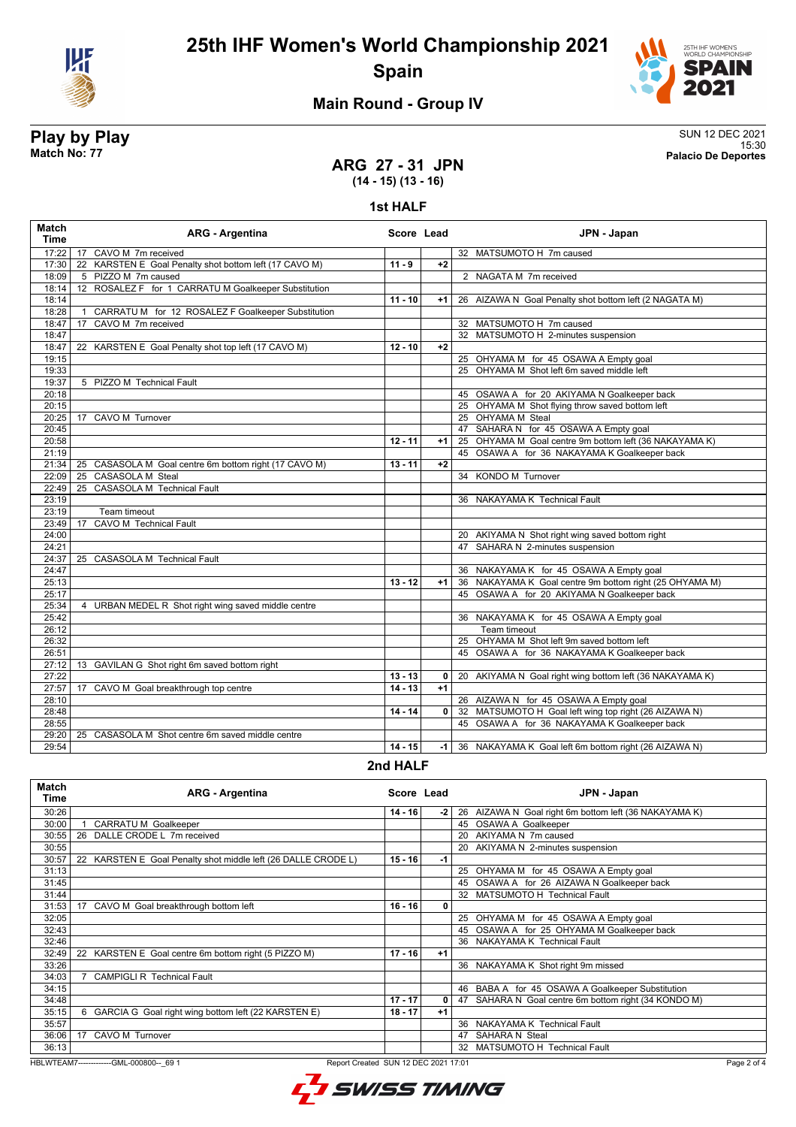



# **Main Round - Group IV**

**Play by Play** SUN 12 DEC 2021 15:30 **Match No: 77 Palacio De Deportes**

### **ARG 27 - 31 JPN (14 - 15) (13 - 16)**

#### **1st HALF**

| <b>Match</b><br>Time | <b>ARG - Argentina</b>                                 | Score Lead |                | JPN - Japan                                              |
|----------------------|--------------------------------------------------------|------------|----------------|----------------------------------------------------------|
| 17:22                | CAVO M 7m received<br>17                               |            |                | 32 MATSUMOTO H 7m caused                                 |
| 17:30                | 22 KARSTEN E Goal Penalty shot bottom left (17 CAVO M) | $11 - 9$   | $+2$           |                                                          |
| 18:09                | 5 PIZZO M 7m caused                                    |            |                | 2 NAGATA M 7m received                                   |
| 18:14                | 12 ROSALEZ F for 1 CARRATU M Goalkeeper Substitution   |            |                |                                                          |
| 18:14                |                                                        | $11 - 10$  | $+1$           | 26 AIZAWA N Goal Penalty shot bottom left (2 NAGATA M)   |
| 18:28                | CARRATU M for 12 ROSALEZ F Goalkeeper Substitution     |            |                |                                                          |
| 18:47                | CAVO M 7m received<br>17                               |            |                | 32 MATSUMOTO H 7m caused                                 |
| 18:47                |                                                        |            |                | 32 MATSUMOTO H 2-minutes suspension                      |
| 18:47                | 22 KARSTEN E Goal Penalty shot top left (17 CAVO M)    | $12 - 10$  | $+2$           |                                                          |
| 19:15                |                                                        |            |                | 25 OHYAMA M for 45 OSAWA A Empty goal                    |
| 19:33                |                                                        |            |                | 25 OHYAMA M Shot left 6m saved middle left               |
| 19:37                | 5 PIZZO M Technical Fault                              |            |                |                                                          |
| 20:18                |                                                        |            |                | 45 OSAWA A for 20 AKIYAMA N Goalkeeper back              |
| 20:15                |                                                        |            |                | 25 OHYAMA M Shot flying throw saved bottom left          |
| 20:25                | CAVO M Turnover<br>17                                  |            |                | 25 OHYAMA M Steal                                        |
| 20:45                |                                                        |            |                | 47 SAHARA N for 45 OSAWA A Empty goal                    |
| 20:58                |                                                        | $12 - 11$  | $+1$           | 25 OHYAMA M Goal centre 9m bottom left (36 NAKAYAMA K)   |
| 21:19                |                                                        |            |                | 45 OSAWA A for 36 NAKAYAMA K Goalkeeper back             |
| 21:34                | 25 CASASOLA M Goal centre 6m bottom right (17 CAVO M)  | 13 - 11    | $+2$           |                                                          |
| 22:09                | <b>CASASOLA M Steal</b><br>25                          |            |                | 34 KONDO M Turnover                                      |
| 22:49                | <b>CASASOLA M Technical Fault</b><br>25                |            |                |                                                          |
| 23:19                |                                                        |            |                | 36 NAKAYAMA K Technical Fault                            |
| 23:19                | Team timeout                                           |            |                |                                                          |
| 23:49                | <b>CAVO M Technical Fault</b><br>17                    |            |                |                                                          |
| 24:00                |                                                        |            |                | 20 AKIYAMA N Shot right wing saved bottom right          |
| 24:21                |                                                        |            |                | 47 SAHARA N 2-minutes suspension                         |
| 24:37                | 25 CASASOLA M Technical Fault                          |            |                |                                                          |
| 24:47                |                                                        |            |                | 36 NAKAYAMA K for 45 OSAWA A Empty goal                  |
| 25:13                |                                                        | $13 - 12$  | $+1$           | 36 NAKAYAMA K Goal centre 9m bottom right (25 OHYAMA M)  |
| 25:17                |                                                        |            |                | 45 OSAWA A for 20 AKIYAMA N Goalkeeper back              |
| 25:34                | 4 URBAN MEDEL R Shot right wing saved middle centre    |            |                |                                                          |
| 25:42                |                                                        |            |                | 36 NAKAYAMA K for 45 OSAWA A Empty goal                  |
| 26:12                |                                                        |            |                | Team timeout                                             |
| 26:32                |                                                        |            |                | 25 OHYAMA M Shot left 9m saved bottom left               |
| 26:51                |                                                        |            |                | 45 OSAWA A for 36 NAKAYAMA K Goalkeeper back             |
| 27:12                | 13 GAVILAN G Shot right 6m saved bottom right          |            |                |                                                          |
| 27:22                |                                                        | $13 - 13$  | 0 <sup>1</sup> | 20 AKIYAMA N Goal right wing bottom left (36 NAKAYAMA K) |
| 27:57                | CAVO M Goal breakthrough top centre<br>17              | $14 - 13$  | $+1$           |                                                          |
| 28:10                |                                                        |            |                | 26 AIZAWA N for 45 OSAWA A Empty goal                    |
| 28:48                |                                                        | $14 - 14$  | 0 <sup>1</sup> | 32 MATSUMOTO H Goal left wing top right (26 AIZAWA N)    |
| 28:55                |                                                        |            |                | 45 OSAWA A for 36 NAKAYAMA K Goalkeeper back             |
| 29:20                | 25<br>CASASOLA M Shot centre 6m saved middle centre    |            |                |                                                          |
| 29:54                |                                                        | $14 - 15$  | -1 l           | 36 NAKAYAMA K Goal left 6m bottom right (26 AIZAWA N)    |
|                      |                                                        |            |                |                                                          |

#### **2nd HALF**

| Match<br>Time | <b>ARG - Argentina</b>                                           | Score Lead |      |    | JPN - Japan                                           |
|---------------|------------------------------------------------------------------|------------|------|----|-------------------------------------------------------|
| 30:26         |                                                                  | $14 - 16$  | -2   |    | 26 AIZAWA N Goal right 6m bottom left (36 NAKAYAMA K) |
| 30:00         | CARRATU M Goalkeeper                                             |            |      |    | 45 OSAWA A Goalkeeper                                 |
| 30:55         | DALLE CRODE L 7m received<br>26                                  |            |      | 20 | AKIYAMA N 7m caused                                   |
| 30:55         |                                                                  |            |      |    | 20 AKIYAMA N 2-minutes suspension                     |
| 30:57         | KARSTEN E Goal Penalty shot middle left (26 DALLE CRODE L)<br>22 | $15 - 16$  | -1   |    |                                                       |
| 31:13         |                                                                  |            |      | 25 | OHYAMA M for 45 OSAWA A Empty goal                    |
| 31:45         |                                                                  |            |      |    | 45 OSAWA A for 26 AIZAWA N Goalkeeper back            |
| 31:44         |                                                                  |            |      |    | 32 MATSUMOTO H Technical Fault                        |
| 31:53         | CAVO M Goal breakthrough bottom left<br>17                       | $16 - 16$  | 0    |    |                                                       |
| 32:05         |                                                                  |            |      | 25 | OHYAMA M for 45 OSAWA A Empty goal                    |
| 32:43         |                                                                  |            |      | 45 | OSAWA A for 25 OHYAMA M Goalkeeper back               |
| 32:46         |                                                                  |            |      |    | 36 NAKAYAMA K Technical Fault                         |
| 32:49         | 22 KARSTEN E Goal centre 6m bottom right (5 PIZZO M)             | $17 - 16$  | $+1$ |    |                                                       |
| 33:26         |                                                                  |            |      |    | 36 NAKAYAMA K Shot right 9m missed                    |
| 34:03         | <b>CAMPIGLI R Technical Fault</b>                                |            |      |    |                                                       |
| 34:15         |                                                                  |            |      |    | 46 BABA A for 45 OSAWA A Goalkeeper Substitution      |
| 34:48         |                                                                  | $17 - 17$  | 0    | 47 | SAHARA N Goal centre 6m bottom right (34 KONDO M)     |
| 35:15         | GARCIA G Goal right wing bottom left (22 KARSTEN E)<br>6         | $18 - 17$  | $+1$ |    |                                                       |
| 35:57         |                                                                  |            |      |    | 36 NAKAYAMA K Technical Fault                         |
| 36:06         | 17<br>CAVO M Turnover                                            |            |      | 47 | <b>SAHARA N Steal</b>                                 |
| 36:13         |                                                                  |            |      |    | 32 MATSUMOTO H Technical Fault                        |

HBLWTEAM7-------------GML-000800--\_69 1 Report Created SUN 12 DEC 2021 17:01

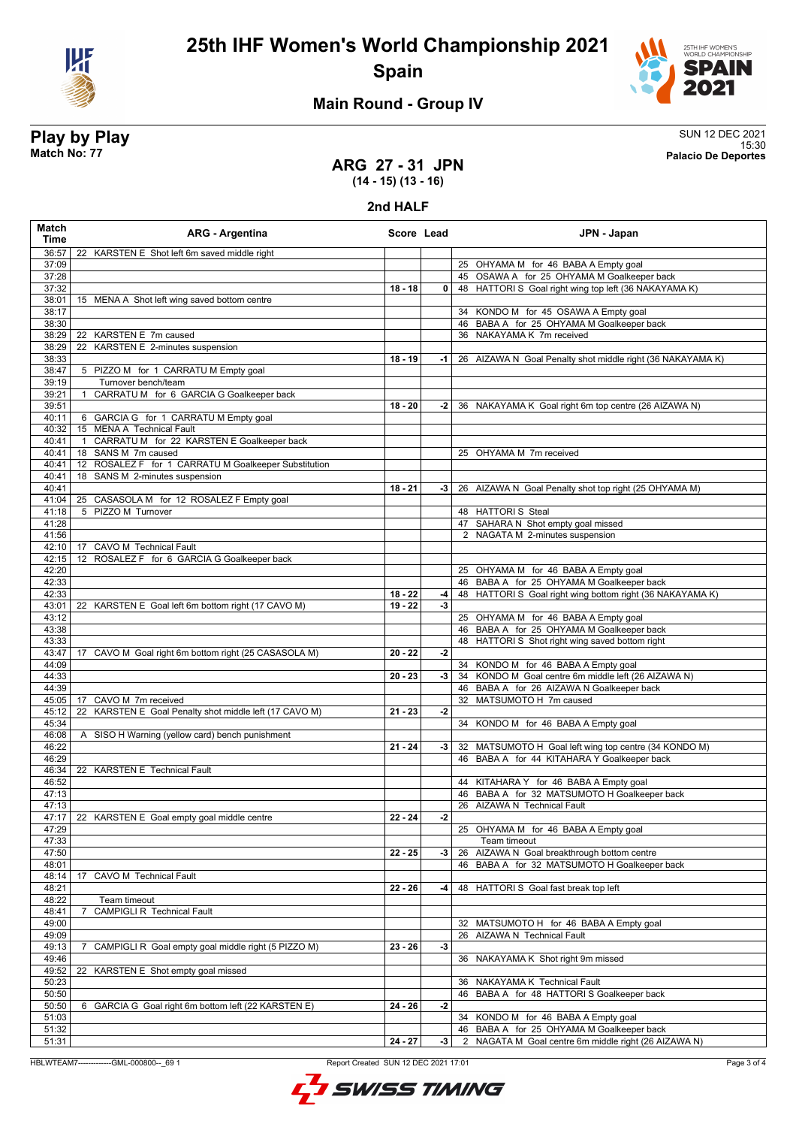



# **Main Round - Group IV**

**Play by Play** SUN 12 DEC 2021 15:30 **Match No: 77 Palacio De Deportes**

### **ARG 27 - 31 JPN (14 - 15) (13 - 16)**

**2nd HALF**

| 36:57<br>22 KARSTEN E Shot left 6m saved middle right<br>37:09<br>25 OHYAMA M for 46 BABA A Empty goal<br>37:28<br>45 OSAWA A for 25 OHYAMA M Goalkeeper back<br>48 HATTORI S Goal right wing top left (36 NAKAYAMA K)<br>37:32<br>$18 - 18$<br>0<br>38:01<br>15 MENA A Shot left wing saved bottom centre<br>38:17<br>34 KONDO M for 45 OSAWA A Empty goal<br>46 BABA A for 25 OHYAMA M Goalkeeper back<br>38:30<br>36 NAKAYAMA K 7m received<br>38:29<br>22 KARSTEN E 7m caused<br>KARSTEN E 2-minutes suspension<br>38:29<br>22<br>38:33<br>$18 - 19$<br>26 AIZAWA N Goal Penalty shot middle right (36 NAKAYAMA K)<br>-1<br>5 PIZZO M for 1 CARRATU M Empty goal<br>38:47<br>39:19<br>Turnover bench/team<br>CARRATU M for 6 GARCIA G Goalkeeper back<br>39:21<br>39:51<br>$18 - 20$<br>-2<br>36 NAKAYAMA K Goal right 6m top centre (26 AIZAWA N)<br>40:11<br>6 GARCIA G for 1 CARRATU M Empty goal<br>40:32<br>15 MENA A Technical Fault<br>CARRATUM for 22 KARSTEN E Goalkeeper back<br>40:41<br>$\overline{1}$<br>18 SANS M 7m caused<br>25 OHYAMA M 7m received<br>40:41<br>ROSALEZ F for 1 CARRATU M Goalkeeper Substitution<br>40:41<br>12<br>SANS M 2-minutes suspension<br>40:41<br>18<br>40:41<br>$18 - 21$<br>26 AIZAWA N Goal Penalty shot top right (25 OHYAMA M)<br>-3<br>25 CASASOLA M for 12 ROSALEZ F Empty goal<br>41:04<br>5 PIZZO M Turnover<br>41:18<br>48 HATTORIS Steal<br>41:28<br>47 SAHARA N Shot empty goal missed<br>41:56<br>2 NAGATA M 2-minutes suspension<br>42:10<br><b>CAVO M Technical Fault</b><br>17<br>42:15<br>12 ROSALEZ F for 6 GARCIA G Goalkeeper back<br>42:20<br>25 OHYAMA M for 46 BABA A Empty goal<br>42:33<br>46 BABA A for 25 OHYAMA M Goalkeeper back<br>42:33<br>$18 - 22$<br>48 HATTORI S Goal right wing bottom right (36 NAKAYAMA K)<br>-4<br>43:01<br>22 KARSTEN E Goal left 6m bottom right (17 CAVO M)<br>$19 - 22$<br>$-3$<br>43:12<br>25 OHYAMA M for 46 BABA A Empty goal<br>43:38<br>46 BABA A for 25 OHYAMA M Goalkeeper back<br>48 HATTORI S Shot right wing saved bottom right<br>43:33<br>43:47<br>CAVO M Goal right 6m bottom right (25 CASASOLA M)<br>$20 - 22$<br>$-2$<br>17<br>34 KONDO M for 46 BABA A Empty goal<br>44:09<br>34 KONDO M Goal centre 6m middle left (26 AIZAWA N)<br>44:33<br>$20 - 23$<br>-3<br>44:39<br>46 BABA A for 26 AIZAWA N Goalkeeper back<br>32 MATSUMOTO H 7m caused<br>45:05<br>CAVO M 7m received<br>17<br>KARSTEN E Goal Penalty shot middle left (17 CAVO M)<br>45:12<br>$21 - 23$<br>$-2$<br>22<br>45:34<br>34 KONDO M for 46 BABA A Empty goal<br>46:08<br>A SISO H Warning (yellow card) bench punishment<br>46:22<br>$21 - 24$<br>-3<br>32 MATSUMOTO H Goal left wing top centre (34 KONDO M)<br>46:29<br>46 BABA A for 44 KITAHARA Y Goalkeeper back<br>22 KARSTEN E Technical Fault<br>46:34<br>46:52<br>44 KITAHARA Y for 46 BABA A Empty goal<br>46 BABA A for 32 MATSUMOTO H Goalkeeper back<br>47:13<br>26 AIZAWA N Technical Fault<br>47:13<br>47:17<br>22 KARSTEN E Goal empty goal middle centre<br>$22 - 24$<br>-2<br>47:29<br>25 OHYAMA M for 46 BABA A Empty goal<br>47:33<br>Team timeout<br>47:50<br>$22 - 25$<br>26 AIZAWA N Goal breakthrough bottom centre<br>-3<br>48:01<br>46 BABA A for 32 MATSUMOTO H Goalkeeper back<br>CAVO M Technical Fault<br>48:14<br>17<br>48:21<br>$22 - 26$<br>48 HATTORIS Goal fast break top left<br>-4<br>48:22<br>Team timeout<br><b>CAMPIGLI R Technical Fault</b><br>48:41<br>49:00<br>32 MATSUMOTO H for 46 BABA A Empty goal | Match<br>Time | <b>ARG - Argentina</b> | Score Lead | JPN - Japan |
|--------------------------------------------------------------------------------------------------------------------------------------------------------------------------------------------------------------------------------------------------------------------------------------------------------------------------------------------------------------------------------------------------------------------------------------------------------------------------------------------------------------------------------------------------------------------------------------------------------------------------------------------------------------------------------------------------------------------------------------------------------------------------------------------------------------------------------------------------------------------------------------------------------------------------------------------------------------------------------------------------------------------------------------------------------------------------------------------------------------------------------------------------------------------------------------------------------------------------------------------------------------------------------------------------------------------------------------------------------------------------------------------------------------------------------------------------------------------------------------------------------------------------------------------------------------------------------------------------------------------------------------------------------------------------------------------------------------------------------------------------------------------------------------------------------------------------------------------------------------------------------------------------------------------------------------------------------------------------------------------------------------------------------------------------------------------------------------------------------------------------------------------------------------------------------------------------------------------------------------------------------------------------------------------------------------------------------------------------------------------------------------------------------------------------------------------------------------------------------------------------------------------------------------------------------------------------------------------------------------------------------------------------------------------------------------------------------------------------------------------------------------------------------------------------------------------------------------------------------------------------------------------------------------------------------------------------------------------------------------------------------------------------------------------------------------------------------------------------------------------------------------------------------------------------------------------------------------------------------------------------------------------------------------------------------------------------------------------------------------------------------------------------------------------------------------------------------------------------------------------------|---------------|------------------------|------------|-------------|
|                                                                                                                                                                                                                                                                                                                                                                                                                                                                                                                                                                                                                                                                                                                                                                                                                                                                                                                                                                                                                                                                                                                                                                                                                                                                                                                                                                                                                                                                                                                                                                                                                                                                                                                                                                                                                                                                                                                                                                                                                                                                                                                                                                                                                                                                                                                                                                                                                                                                                                                                                                                                                                                                                                                                                                                                                                                                                                                                                                                                                                                                                                                                                                                                                                                                                                                                                                                                                                                                                                  |               |                        |            |             |
|                                                                                                                                                                                                                                                                                                                                                                                                                                                                                                                                                                                                                                                                                                                                                                                                                                                                                                                                                                                                                                                                                                                                                                                                                                                                                                                                                                                                                                                                                                                                                                                                                                                                                                                                                                                                                                                                                                                                                                                                                                                                                                                                                                                                                                                                                                                                                                                                                                                                                                                                                                                                                                                                                                                                                                                                                                                                                                                                                                                                                                                                                                                                                                                                                                                                                                                                                                                                                                                                                                  |               |                        |            |             |
|                                                                                                                                                                                                                                                                                                                                                                                                                                                                                                                                                                                                                                                                                                                                                                                                                                                                                                                                                                                                                                                                                                                                                                                                                                                                                                                                                                                                                                                                                                                                                                                                                                                                                                                                                                                                                                                                                                                                                                                                                                                                                                                                                                                                                                                                                                                                                                                                                                                                                                                                                                                                                                                                                                                                                                                                                                                                                                                                                                                                                                                                                                                                                                                                                                                                                                                                                                                                                                                                                                  |               |                        |            |             |
|                                                                                                                                                                                                                                                                                                                                                                                                                                                                                                                                                                                                                                                                                                                                                                                                                                                                                                                                                                                                                                                                                                                                                                                                                                                                                                                                                                                                                                                                                                                                                                                                                                                                                                                                                                                                                                                                                                                                                                                                                                                                                                                                                                                                                                                                                                                                                                                                                                                                                                                                                                                                                                                                                                                                                                                                                                                                                                                                                                                                                                                                                                                                                                                                                                                                                                                                                                                                                                                                                                  |               |                        |            |             |
|                                                                                                                                                                                                                                                                                                                                                                                                                                                                                                                                                                                                                                                                                                                                                                                                                                                                                                                                                                                                                                                                                                                                                                                                                                                                                                                                                                                                                                                                                                                                                                                                                                                                                                                                                                                                                                                                                                                                                                                                                                                                                                                                                                                                                                                                                                                                                                                                                                                                                                                                                                                                                                                                                                                                                                                                                                                                                                                                                                                                                                                                                                                                                                                                                                                                                                                                                                                                                                                                                                  |               |                        |            |             |
|                                                                                                                                                                                                                                                                                                                                                                                                                                                                                                                                                                                                                                                                                                                                                                                                                                                                                                                                                                                                                                                                                                                                                                                                                                                                                                                                                                                                                                                                                                                                                                                                                                                                                                                                                                                                                                                                                                                                                                                                                                                                                                                                                                                                                                                                                                                                                                                                                                                                                                                                                                                                                                                                                                                                                                                                                                                                                                                                                                                                                                                                                                                                                                                                                                                                                                                                                                                                                                                                                                  |               |                        |            |             |
|                                                                                                                                                                                                                                                                                                                                                                                                                                                                                                                                                                                                                                                                                                                                                                                                                                                                                                                                                                                                                                                                                                                                                                                                                                                                                                                                                                                                                                                                                                                                                                                                                                                                                                                                                                                                                                                                                                                                                                                                                                                                                                                                                                                                                                                                                                                                                                                                                                                                                                                                                                                                                                                                                                                                                                                                                                                                                                                                                                                                                                                                                                                                                                                                                                                                                                                                                                                                                                                                                                  |               |                        |            |             |
|                                                                                                                                                                                                                                                                                                                                                                                                                                                                                                                                                                                                                                                                                                                                                                                                                                                                                                                                                                                                                                                                                                                                                                                                                                                                                                                                                                                                                                                                                                                                                                                                                                                                                                                                                                                                                                                                                                                                                                                                                                                                                                                                                                                                                                                                                                                                                                                                                                                                                                                                                                                                                                                                                                                                                                                                                                                                                                                                                                                                                                                                                                                                                                                                                                                                                                                                                                                                                                                                                                  |               |                        |            |             |
|                                                                                                                                                                                                                                                                                                                                                                                                                                                                                                                                                                                                                                                                                                                                                                                                                                                                                                                                                                                                                                                                                                                                                                                                                                                                                                                                                                                                                                                                                                                                                                                                                                                                                                                                                                                                                                                                                                                                                                                                                                                                                                                                                                                                                                                                                                                                                                                                                                                                                                                                                                                                                                                                                                                                                                                                                                                                                                                                                                                                                                                                                                                                                                                                                                                                                                                                                                                                                                                                                                  |               |                        |            |             |
|                                                                                                                                                                                                                                                                                                                                                                                                                                                                                                                                                                                                                                                                                                                                                                                                                                                                                                                                                                                                                                                                                                                                                                                                                                                                                                                                                                                                                                                                                                                                                                                                                                                                                                                                                                                                                                                                                                                                                                                                                                                                                                                                                                                                                                                                                                                                                                                                                                                                                                                                                                                                                                                                                                                                                                                                                                                                                                                                                                                                                                                                                                                                                                                                                                                                                                                                                                                                                                                                                                  |               |                        |            |             |
|                                                                                                                                                                                                                                                                                                                                                                                                                                                                                                                                                                                                                                                                                                                                                                                                                                                                                                                                                                                                                                                                                                                                                                                                                                                                                                                                                                                                                                                                                                                                                                                                                                                                                                                                                                                                                                                                                                                                                                                                                                                                                                                                                                                                                                                                                                                                                                                                                                                                                                                                                                                                                                                                                                                                                                                                                                                                                                                                                                                                                                                                                                                                                                                                                                                                                                                                                                                                                                                                                                  |               |                        |            |             |
|                                                                                                                                                                                                                                                                                                                                                                                                                                                                                                                                                                                                                                                                                                                                                                                                                                                                                                                                                                                                                                                                                                                                                                                                                                                                                                                                                                                                                                                                                                                                                                                                                                                                                                                                                                                                                                                                                                                                                                                                                                                                                                                                                                                                                                                                                                                                                                                                                                                                                                                                                                                                                                                                                                                                                                                                                                                                                                                                                                                                                                                                                                                                                                                                                                                                                                                                                                                                                                                                                                  |               |                        |            |             |
|                                                                                                                                                                                                                                                                                                                                                                                                                                                                                                                                                                                                                                                                                                                                                                                                                                                                                                                                                                                                                                                                                                                                                                                                                                                                                                                                                                                                                                                                                                                                                                                                                                                                                                                                                                                                                                                                                                                                                                                                                                                                                                                                                                                                                                                                                                                                                                                                                                                                                                                                                                                                                                                                                                                                                                                                                                                                                                                                                                                                                                                                                                                                                                                                                                                                                                                                                                                                                                                                                                  |               |                        |            |             |
|                                                                                                                                                                                                                                                                                                                                                                                                                                                                                                                                                                                                                                                                                                                                                                                                                                                                                                                                                                                                                                                                                                                                                                                                                                                                                                                                                                                                                                                                                                                                                                                                                                                                                                                                                                                                                                                                                                                                                                                                                                                                                                                                                                                                                                                                                                                                                                                                                                                                                                                                                                                                                                                                                                                                                                                                                                                                                                                                                                                                                                                                                                                                                                                                                                                                                                                                                                                                                                                                                                  |               |                        |            |             |
|                                                                                                                                                                                                                                                                                                                                                                                                                                                                                                                                                                                                                                                                                                                                                                                                                                                                                                                                                                                                                                                                                                                                                                                                                                                                                                                                                                                                                                                                                                                                                                                                                                                                                                                                                                                                                                                                                                                                                                                                                                                                                                                                                                                                                                                                                                                                                                                                                                                                                                                                                                                                                                                                                                                                                                                                                                                                                                                                                                                                                                                                                                                                                                                                                                                                                                                                                                                                                                                                                                  |               |                        |            |             |
|                                                                                                                                                                                                                                                                                                                                                                                                                                                                                                                                                                                                                                                                                                                                                                                                                                                                                                                                                                                                                                                                                                                                                                                                                                                                                                                                                                                                                                                                                                                                                                                                                                                                                                                                                                                                                                                                                                                                                                                                                                                                                                                                                                                                                                                                                                                                                                                                                                                                                                                                                                                                                                                                                                                                                                                                                                                                                                                                                                                                                                                                                                                                                                                                                                                                                                                                                                                                                                                                                                  |               |                        |            |             |
|                                                                                                                                                                                                                                                                                                                                                                                                                                                                                                                                                                                                                                                                                                                                                                                                                                                                                                                                                                                                                                                                                                                                                                                                                                                                                                                                                                                                                                                                                                                                                                                                                                                                                                                                                                                                                                                                                                                                                                                                                                                                                                                                                                                                                                                                                                                                                                                                                                                                                                                                                                                                                                                                                                                                                                                                                                                                                                                                                                                                                                                                                                                                                                                                                                                                                                                                                                                                                                                                                                  |               |                        |            |             |
|                                                                                                                                                                                                                                                                                                                                                                                                                                                                                                                                                                                                                                                                                                                                                                                                                                                                                                                                                                                                                                                                                                                                                                                                                                                                                                                                                                                                                                                                                                                                                                                                                                                                                                                                                                                                                                                                                                                                                                                                                                                                                                                                                                                                                                                                                                                                                                                                                                                                                                                                                                                                                                                                                                                                                                                                                                                                                                                                                                                                                                                                                                                                                                                                                                                                                                                                                                                                                                                                                                  |               |                        |            |             |
|                                                                                                                                                                                                                                                                                                                                                                                                                                                                                                                                                                                                                                                                                                                                                                                                                                                                                                                                                                                                                                                                                                                                                                                                                                                                                                                                                                                                                                                                                                                                                                                                                                                                                                                                                                                                                                                                                                                                                                                                                                                                                                                                                                                                                                                                                                                                                                                                                                                                                                                                                                                                                                                                                                                                                                                                                                                                                                                                                                                                                                                                                                                                                                                                                                                                                                                                                                                                                                                                                                  |               |                        |            |             |
|                                                                                                                                                                                                                                                                                                                                                                                                                                                                                                                                                                                                                                                                                                                                                                                                                                                                                                                                                                                                                                                                                                                                                                                                                                                                                                                                                                                                                                                                                                                                                                                                                                                                                                                                                                                                                                                                                                                                                                                                                                                                                                                                                                                                                                                                                                                                                                                                                                                                                                                                                                                                                                                                                                                                                                                                                                                                                                                                                                                                                                                                                                                                                                                                                                                                                                                                                                                                                                                                                                  |               |                        |            |             |
|                                                                                                                                                                                                                                                                                                                                                                                                                                                                                                                                                                                                                                                                                                                                                                                                                                                                                                                                                                                                                                                                                                                                                                                                                                                                                                                                                                                                                                                                                                                                                                                                                                                                                                                                                                                                                                                                                                                                                                                                                                                                                                                                                                                                                                                                                                                                                                                                                                                                                                                                                                                                                                                                                                                                                                                                                                                                                                                                                                                                                                                                                                                                                                                                                                                                                                                                                                                                                                                                                                  |               |                        |            |             |
|                                                                                                                                                                                                                                                                                                                                                                                                                                                                                                                                                                                                                                                                                                                                                                                                                                                                                                                                                                                                                                                                                                                                                                                                                                                                                                                                                                                                                                                                                                                                                                                                                                                                                                                                                                                                                                                                                                                                                                                                                                                                                                                                                                                                                                                                                                                                                                                                                                                                                                                                                                                                                                                                                                                                                                                                                                                                                                                                                                                                                                                                                                                                                                                                                                                                                                                                                                                                                                                                                                  |               |                        |            |             |
|                                                                                                                                                                                                                                                                                                                                                                                                                                                                                                                                                                                                                                                                                                                                                                                                                                                                                                                                                                                                                                                                                                                                                                                                                                                                                                                                                                                                                                                                                                                                                                                                                                                                                                                                                                                                                                                                                                                                                                                                                                                                                                                                                                                                                                                                                                                                                                                                                                                                                                                                                                                                                                                                                                                                                                                                                                                                                                                                                                                                                                                                                                                                                                                                                                                                                                                                                                                                                                                                                                  |               |                        |            |             |
|                                                                                                                                                                                                                                                                                                                                                                                                                                                                                                                                                                                                                                                                                                                                                                                                                                                                                                                                                                                                                                                                                                                                                                                                                                                                                                                                                                                                                                                                                                                                                                                                                                                                                                                                                                                                                                                                                                                                                                                                                                                                                                                                                                                                                                                                                                                                                                                                                                                                                                                                                                                                                                                                                                                                                                                                                                                                                                                                                                                                                                                                                                                                                                                                                                                                                                                                                                                                                                                                                                  |               |                        |            |             |
|                                                                                                                                                                                                                                                                                                                                                                                                                                                                                                                                                                                                                                                                                                                                                                                                                                                                                                                                                                                                                                                                                                                                                                                                                                                                                                                                                                                                                                                                                                                                                                                                                                                                                                                                                                                                                                                                                                                                                                                                                                                                                                                                                                                                                                                                                                                                                                                                                                                                                                                                                                                                                                                                                                                                                                                                                                                                                                                                                                                                                                                                                                                                                                                                                                                                                                                                                                                                                                                                                                  |               |                        |            |             |
|                                                                                                                                                                                                                                                                                                                                                                                                                                                                                                                                                                                                                                                                                                                                                                                                                                                                                                                                                                                                                                                                                                                                                                                                                                                                                                                                                                                                                                                                                                                                                                                                                                                                                                                                                                                                                                                                                                                                                                                                                                                                                                                                                                                                                                                                                                                                                                                                                                                                                                                                                                                                                                                                                                                                                                                                                                                                                                                                                                                                                                                                                                                                                                                                                                                                                                                                                                                                                                                                                                  |               |                        |            |             |
|                                                                                                                                                                                                                                                                                                                                                                                                                                                                                                                                                                                                                                                                                                                                                                                                                                                                                                                                                                                                                                                                                                                                                                                                                                                                                                                                                                                                                                                                                                                                                                                                                                                                                                                                                                                                                                                                                                                                                                                                                                                                                                                                                                                                                                                                                                                                                                                                                                                                                                                                                                                                                                                                                                                                                                                                                                                                                                                                                                                                                                                                                                                                                                                                                                                                                                                                                                                                                                                                                                  |               |                        |            |             |
|                                                                                                                                                                                                                                                                                                                                                                                                                                                                                                                                                                                                                                                                                                                                                                                                                                                                                                                                                                                                                                                                                                                                                                                                                                                                                                                                                                                                                                                                                                                                                                                                                                                                                                                                                                                                                                                                                                                                                                                                                                                                                                                                                                                                                                                                                                                                                                                                                                                                                                                                                                                                                                                                                                                                                                                                                                                                                                                                                                                                                                                                                                                                                                                                                                                                                                                                                                                                                                                                                                  |               |                        |            |             |
|                                                                                                                                                                                                                                                                                                                                                                                                                                                                                                                                                                                                                                                                                                                                                                                                                                                                                                                                                                                                                                                                                                                                                                                                                                                                                                                                                                                                                                                                                                                                                                                                                                                                                                                                                                                                                                                                                                                                                                                                                                                                                                                                                                                                                                                                                                                                                                                                                                                                                                                                                                                                                                                                                                                                                                                                                                                                                                                                                                                                                                                                                                                                                                                                                                                                                                                                                                                                                                                                                                  |               |                        |            |             |
|                                                                                                                                                                                                                                                                                                                                                                                                                                                                                                                                                                                                                                                                                                                                                                                                                                                                                                                                                                                                                                                                                                                                                                                                                                                                                                                                                                                                                                                                                                                                                                                                                                                                                                                                                                                                                                                                                                                                                                                                                                                                                                                                                                                                                                                                                                                                                                                                                                                                                                                                                                                                                                                                                                                                                                                                                                                                                                                                                                                                                                                                                                                                                                                                                                                                                                                                                                                                                                                                                                  |               |                        |            |             |
|                                                                                                                                                                                                                                                                                                                                                                                                                                                                                                                                                                                                                                                                                                                                                                                                                                                                                                                                                                                                                                                                                                                                                                                                                                                                                                                                                                                                                                                                                                                                                                                                                                                                                                                                                                                                                                                                                                                                                                                                                                                                                                                                                                                                                                                                                                                                                                                                                                                                                                                                                                                                                                                                                                                                                                                                                                                                                                                                                                                                                                                                                                                                                                                                                                                                                                                                                                                                                                                                                                  |               |                        |            |             |
|                                                                                                                                                                                                                                                                                                                                                                                                                                                                                                                                                                                                                                                                                                                                                                                                                                                                                                                                                                                                                                                                                                                                                                                                                                                                                                                                                                                                                                                                                                                                                                                                                                                                                                                                                                                                                                                                                                                                                                                                                                                                                                                                                                                                                                                                                                                                                                                                                                                                                                                                                                                                                                                                                                                                                                                                                                                                                                                                                                                                                                                                                                                                                                                                                                                                                                                                                                                                                                                                                                  |               |                        |            |             |
|                                                                                                                                                                                                                                                                                                                                                                                                                                                                                                                                                                                                                                                                                                                                                                                                                                                                                                                                                                                                                                                                                                                                                                                                                                                                                                                                                                                                                                                                                                                                                                                                                                                                                                                                                                                                                                                                                                                                                                                                                                                                                                                                                                                                                                                                                                                                                                                                                                                                                                                                                                                                                                                                                                                                                                                                                                                                                                                                                                                                                                                                                                                                                                                                                                                                                                                                                                                                                                                                                                  |               |                        |            |             |
|                                                                                                                                                                                                                                                                                                                                                                                                                                                                                                                                                                                                                                                                                                                                                                                                                                                                                                                                                                                                                                                                                                                                                                                                                                                                                                                                                                                                                                                                                                                                                                                                                                                                                                                                                                                                                                                                                                                                                                                                                                                                                                                                                                                                                                                                                                                                                                                                                                                                                                                                                                                                                                                                                                                                                                                                                                                                                                                                                                                                                                                                                                                                                                                                                                                                                                                                                                                                                                                                                                  |               |                        |            |             |
|                                                                                                                                                                                                                                                                                                                                                                                                                                                                                                                                                                                                                                                                                                                                                                                                                                                                                                                                                                                                                                                                                                                                                                                                                                                                                                                                                                                                                                                                                                                                                                                                                                                                                                                                                                                                                                                                                                                                                                                                                                                                                                                                                                                                                                                                                                                                                                                                                                                                                                                                                                                                                                                                                                                                                                                                                                                                                                                                                                                                                                                                                                                                                                                                                                                                                                                                                                                                                                                                                                  |               |                        |            |             |
|                                                                                                                                                                                                                                                                                                                                                                                                                                                                                                                                                                                                                                                                                                                                                                                                                                                                                                                                                                                                                                                                                                                                                                                                                                                                                                                                                                                                                                                                                                                                                                                                                                                                                                                                                                                                                                                                                                                                                                                                                                                                                                                                                                                                                                                                                                                                                                                                                                                                                                                                                                                                                                                                                                                                                                                                                                                                                                                                                                                                                                                                                                                                                                                                                                                                                                                                                                                                                                                                                                  |               |                        |            |             |
|                                                                                                                                                                                                                                                                                                                                                                                                                                                                                                                                                                                                                                                                                                                                                                                                                                                                                                                                                                                                                                                                                                                                                                                                                                                                                                                                                                                                                                                                                                                                                                                                                                                                                                                                                                                                                                                                                                                                                                                                                                                                                                                                                                                                                                                                                                                                                                                                                                                                                                                                                                                                                                                                                                                                                                                                                                                                                                                                                                                                                                                                                                                                                                                                                                                                                                                                                                                                                                                                                                  |               |                        |            |             |
|                                                                                                                                                                                                                                                                                                                                                                                                                                                                                                                                                                                                                                                                                                                                                                                                                                                                                                                                                                                                                                                                                                                                                                                                                                                                                                                                                                                                                                                                                                                                                                                                                                                                                                                                                                                                                                                                                                                                                                                                                                                                                                                                                                                                                                                                                                                                                                                                                                                                                                                                                                                                                                                                                                                                                                                                                                                                                                                                                                                                                                                                                                                                                                                                                                                                                                                                                                                                                                                                                                  |               |                        |            |             |
|                                                                                                                                                                                                                                                                                                                                                                                                                                                                                                                                                                                                                                                                                                                                                                                                                                                                                                                                                                                                                                                                                                                                                                                                                                                                                                                                                                                                                                                                                                                                                                                                                                                                                                                                                                                                                                                                                                                                                                                                                                                                                                                                                                                                                                                                                                                                                                                                                                                                                                                                                                                                                                                                                                                                                                                                                                                                                                                                                                                                                                                                                                                                                                                                                                                                                                                                                                                                                                                                                                  |               |                        |            |             |
|                                                                                                                                                                                                                                                                                                                                                                                                                                                                                                                                                                                                                                                                                                                                                                                                                                                                                                                                                                                                                                                                                                                                                                                                                                                                                                                                                                                                                                                                                                                                                                                                                                                                                                                                                                                                                                                                                                                                                                                                                                                                                                                                                                                                                                                                                                                                                                                                                                                                                                                                                                                                                                                                                                                                                                                                                                                                                                                                                                                                                                                                                                                                                                                                                                                                                                                                                                                                                                                                                                  |               |                        |            |             |
|                                                                                                                                                                                                                                                                                                                                                                                                                                                                                                                                                                                                                                                                                                                                                                                                                                                                                                                                                                                                                                                                                                                                                                                                                                                                                                                                                                                                                                                                                                                                                                                                                                                                                                                                                                                                                                                                                                                                                                                                                                                                                                                                                                                                                                                                                                                                                                                                                                                                                                                                                                                                                                                                                                                                                                                                                                                                                                                                                                                                                                                                                                                                                                                                                                                                                                                                                                                                                                                                                                  |               |                        |            |             |
|                                                                                                                                                                                                                                                                                                                                                                                                                                                                                                                                                                                                                                                                                                                                                                                                                                                                                                                                                                                                                                                                                                                                                                                                                                                                                                                                                                                                                                                                                                                                                                                                                                                                                                                                                                                                                                                                                                                                                                                                                                                                                                                                                                                                                                                                                                                                                                                                                                                                                                                                                                                                                                                                                                                                                                                                                                                                                                                                                                                                                                                                                                                                                                                                                                                                                                                                                                                                                                                                                                  |               |                        |            |             |
|                                                                                                                                                                                                                                                                                                                                                                                                                                                                                                                                                                                                                                                                                                                                                                                                                                                                                                                                                                                                                                                                                                                                                                                                                                                                                                                                                                                                                                                                                                                                                                                                                                                                                                                                                                                                                                                                                                                                                                                                                                                                                                                                                                                                                                                                                                                                                                                                                                                                                                                                                                                                                                                                                                                                                                                                                                                                                                                                                                                                                                                                                                                                                                                                                                                                                                                                                                                                                                                                                                  |               |                        |            |             |
|                                                                                                                                                                                                                                                                                                                                                                                                                                                                                                                                                                                                                                                                                                                                                                                                                                                                                                                                                                                                                                                                                                                                                                                                                                                                                                                                                                                                                                                                                                                                                                                                                                                                                                                                                                                                                                                                                                                                                                                                                                                                                                                                                                                                                                                                                                                                                                                                                                                                                                                                                                                                                                                                                                                                                                                                                                                                                                                                                                                                                                                                                                                                                                                                                                                                                                                                                                                                                                                                                                  |               |                        |            |             |
|                                                                                                                                                                                                                                                                                                                                                                                                                                                                                                                                                                                                                                                                                                                                                                                                                                                                                                                                                                                                                                                                                                                                                                                                                                                                                                                                                                                                                                                                                                                                                                                                                                                                                                                                                                                                                                                                                                                                                                                                                                                                                                                                                                                                                                                                                                                                                                                                                                                                                                                                                                                                                                                                                                                                                                                                                                                                                                                                                                                                                                                                                                                                                                                                                                                                                                                                                                                                                                                                                                  |               |                        |            |             |
|                                                                                                                                                                                                                                                                                                                                                                                                                                                                                                                                                                                                                                                                                                                                                                                                                                                                                                                                                                                                                                                                                                                                                                                                                                                                                                                                                                                                                                                                                                                                                                                                                                                                                                                                                                                                                                                                                                                                                                                                                                                                                                                                                                                                                                                                                                                                                                                                                                                                                                                                                                                                                                                                                                                                                                                                                                                                                                                                                                                                                                                                                                                                                                                                                                                                                                                                                                                                                                                                                                  |               |                        |            |             |
|                                                                                                                                                                                                                                                                                                                                                                                                                                                                                                                                                                                                                                                                                                                                                                                                                                                                                                                                                                                                                                                                                                                                                                                                                                                                                                                                                                                                                                                                                                                                                                                                                                                                                                                                                                                                                                                                                                                                                                                                                                                                                                                                                                                                                                                                                                                                                                                                                                                                                                                                                                                                                                                                                                                                                                                                                                                                                                                                                                                                                                                                                                                                                                                                                                                                                                                                                                                                                                                                                                  |               |                        |            |             |
|                                                                                                                                                                                                                                                                                                                                                                                                                                                                                                                                                                                                                                                                                                                                                                                                                                                                                                                                                                                                                                                                                                                                                                                                                                                                                                                                                                                                                                                                                                                                                                                                                                                                                                                                                                                                                                                                                                                                                                                                                                                                                                                                                                                                                                                                                                                                                                                                                                                                                                                                                                                                                                                                                                                                                                                                                                                                                                                                                                                                                                                                                                                                                                                                                                                                                                                                                                                                                                                                                                  |               |                        |            |             |
|                                                                                                                                                                                                                                                                                                                                                                                                                                                                                                                                                                                                                                                                                                                                                                                                                                                                                                                                                                                                                                                                                                                                                                                                                                                                                                                                                                                                                                                                                                                                                                                                                                                                                                                                                                                                                                                                                                                                                                                                                                                                                                                                                                                                                                                                                                                                                                                                                                                                                                                                                                                                                                                                                                                                                                                                                                                                                                                                                                                                                                                                                                                                                                                                                                                                                                                                                                                                                                                                                                  |               |                        |            |             |
|                                                                                                                                                                                                                                                                                                                                                                                                                                                                                                                                                                                                                                                                                                                                                                                                                                                                                                                                                                                                                                                                                                                                                                                                                                                                                                                                                                                                                                                                                                                                                                                                                                                                                                                                                                                                                                                                                                                                                                                                                                                                                                                                                                                                                                                                                                                                                                                                                                                                                                                                                                                                                                                                                                                                                                                                                                                                                                                                                                                                                                                                                                                                                                                                                                                                                                                                                                                                                                                                                                  |               |                        |            |             |
|                                                                                                                                                                                                                                                                                                                                                                                                                                                                                                                                                                                                                                                                                                                                                                                                                                                                                                                                                                                                                                                                                                                                                                                                                                                                                                                                                                                                                                                                                                                                                                                                                                                                                                                                                                                                                                                                                                                                                                                                                                                                                                                                                                                                                                                                                                                                                                                                                                                                                                                                                                                                                                                                                                                                                                                                                                                                                                                                                                                                                                                                                                                                                                                                                                                                                                                                                                                                                                                                                                  |               |                        |            |             |
|                                                                                                                                                                                                                                                                                                                                                                                                                                                                                                                                                                                                                                                                                                                                                                                                                                                                                                                                                                                                                                                                                                                                                                                                                                                                                                                                                                                                                                                                                                                                                                                                                                                                                                                                                                                                                                                                                                                                                                                                                                                                                                                                                                                                                                                                                                                                                                                                                                                                                                                                                                                                                                                                                                                                                                                                                                                                                                                                                                                                                                                                                                                                                                                                                                                                                                                                                                                                                                                                                                  |               |                        |            |             |
|                                                                                                                                                                                                                                                                                                                                                                                                                                                                                                                                                                                                                                                                                                                                                                                                                                                                                                                                                                                                                                                                                                                                                                                                                                                                                                                                                                                                                                                                                                                                                                                                                                                                                                                                                                                                                                                                                                                                                                                                                                                                                                                                                                                                                                                                                                                                                                                                                                                                                                                                                                                                                                                                                                                                                                                                                                                                                                                                                                                                                                                                                                                                                                                                                                                                                                                                                                                                                                                                                                  |               |                        |            |             |
|                                                                                                                                                                                                                                                                                                                                                                                                                                                                                                                                                                                                                                                                                                                                                                                                                                                                                                                                                                                                                                                                                                                                                                                                                                                                                                                                                                                                                                                                                                                                                                                                                                                                                                                                                                                                                                                                                                                                                                                                                                                                                                                                                                                                                                                                                                                                                                                                                                                                                                                                                                                                                                                                                                                                                                                                                                                                                                                                                                                                                                                                                                                                                                                                                                                                                                                                                                                                                                                                                                  |               |                        |            |             |
|                                                                                                                                                                                                                                                                                                                                                                                                                                                                                                                                                                                                                                                                                                                                                                                                                                                                                                                                                                                                                                                                                                                                                                                                                                                                                                                                                                                                                                                                                                                                                                                                                                                                                                                                                                                                                                                                                                                                                                                                                                                                                                                                                                                                                                                                                                                                                                                                                                                                                                                                                                                                                                                                                                                                                                                                                                                                                                                                                                                                                                                                                                                                                                                                                                                                                                                                                                                                                                                                                                  |               |                        |            |             |
|                                                                                                                                                                                                                                                                                                                                                                                                                                                                                                                                                                                                                                                                                                                                                                                                                                                                                                                                                                                                                                                                                                                                                                                                                                                                                                                                                                                                                                                                                                                                                                                                                                                                                                                                                                                                                                                                                                                                                                                                                                                                                                                                                                                                                                                                                                                                                                                                                                                                                                                                                                                                                                                                                                                                                                                                                                                                                                                                                                                                                                                                                                                                                                                                                                                                                                                                                                                                                                                                                                  |               |                        |            |             |
| 49:09<br>26 AIZAWA N Technical Fault                                                                                                                                                                                                                                                                                                                                                                                                                                                                                                                                                                                                                                                                                                                                                                                                                                                                                                                                                                                                                                                                                                                                                                                                                                                                                                                                                                                                                                                                                                                                                                                                                                                                                                                                                                                                                                                                                                                                                                                                                                                                                                                                                                                                                                                                                                                                                                                                                                                                                                                                                                                                                                                                                                                                                                                                                                                                                                                                                                                                                                                                                                                                                                                                                                                                                                                                                                                                                                                             |               |                        |            |             |
| 49:13<br>CAMPIGLI R Goal empty goal middle right (5 PIZZO M)<br>$23 - 26$<br>-3<br>7                                                                                                                                                                                                                                                                                                                                                                                                                                                                                                                                                                                                                                                                                                                                                                                                                                                                                                                                                                                                                                                                                                                                                                                                                                                                                                                                                                                                                                                                                                                                                                                                                                                                                                                                                                                                                                                                                                                                                                                                                                                                                                                                                                                                                                                                                                                                                                                                                                                                                                                                                                                                                                                                                                                                                                                                                                                                                                                                                                                                                                                                                                                                                                                                                                                                                                                                                                                                             |               |                        |            |             |
| 49:46<br>36<br>NAKAYAMA K Shot right 9m missed                                                                                                                                                                                                                                                                                                                                                                                                                                                                                                                                                                                                                                                                                                                                                                                                                                                                                                                                                                                                                                                                                                                                                                                                                                                                                                                                                                                                                                                                                                                                                                                                                                                                                                                                                                                                                                                                                                                                                                                                                                                                                                                                                                                                                                                                                                                                                                                                                                                                                                                                                                                                                                                                                                                                                                                                                                                                                                                                                                                                                                                                                                                                                                                                                                                                                                                                                                                                                                                   |               |                        |            |             |
| 49:52<br>22<br>KARSTEN E Shot empty goal missed<br>50:23<br>NAKAYAMA K Technical Fault<br>36                                                                                                                                                                                                                                                                                                                                                                                                                                                                                                                                                                                                                                                                                                                                                                                                                                                                                                                                                                                                                                                                                                                                                                                                                                                                                                                                                                                                                                                                                                                                                                                                                                                                                                                                                                                                                                                                                                                                                                                                                                                                                                                                                                                                                                                                                                                                                                                                                                                                                                                                                                                                                                                                                                                                                                                                                                                                                                                                                                                                                                                                                                                                                                                                                                                                                                                                                                                                     |               |                        |            |             |
| 50:50<br>BABA A for 48 HATTORI S Goalkeeper back<br>46                                                                                                                                                                                                                                                                                                                                                                                                                                                                                                                                                                                                                                                                                                                                                                                                                                                                                                                                                                                                                                                                                                                                                                                                                                                                                                                                                                                                                                                                                                                                                                                                                                                                                                                                                                                                                                                                                                                                                                                                                                                                                                                                                                                                                                                                                                                                                                                                                                                                                                                                                                                                                                                                                                                                                                                                                                                                                                                                                                                                                                                                                                                                                                                                                                                                                                                                                                                                                                           |               |                        |            |             |
| 6 GARCIA G Goal right 6m bottom left (22 KARSTEN E)<br>50:50<br>$24 - 26$<br>$-2$                                                                                                                                                                                                                                                                                                                                                                                                                                                                                                                                                                                                                                                                                                                                                                                                                                                                                                                                                                                                                                                                                                                                                                                                                                                                                                                                                                                                                                                                                                                                                                                                                                                                                                                                                                                                                                                                                                                                                                                                                                                                                                                                                                                                                                                                                                                                                                                                                                                                                                                                                                                                                                                                                                                                                                                                                                                                                                                                                                                                                                                                                                                                                                                                                                                                                                                                                                                                                |               |                        |            |             |
| 51:03<br>34 KONDO M for 46 BABA A Empty goal                                                                                                                                                                                                                                                                                                                                                                                                                                                                                                                                                                                                                                                                                                                                                                                                                                                                                                                                                                                                                                                                                                                                                                                                                                                                                                                                                                                                                                                                                                                                                                                                                                                                                                                                                                                                                                                                                                                                                                                                                                                                                                                                                                                                                                                                                                                                                                                                                                                                                                                                                                                                                                                                                                                                                                                                                                                                                                                                                                                                                                                                                                                                                                                                                                                                                                                                                                                                                                                     |               |                        |            |             |
| 51:32<br>46 BABA A for 25 OHYAMA M Goalkeeper back                                                                                                                                                                                                                                                                                                                                                                                                                                                                                                                                                                                                                                                                                                                                                                                                                                                                                                                                                                                                                                                                                                                                                                                                                                                                                                                                                                                                                                                                                                                                                                                                                                                                                                                                                                                                                                                                                                                                                                                                                                                                                                                                                                                                                                                                                                                                                                                                                                                                                                                                                                                                                                                                                                                                                                                                                                                                                                                                                                                                                                                                                                                                                                                                                                                                                                                                                                                                                                               |               |                        |            |             |
| $24 - 27$<br>2 NAGATA M Goal centre 6m middle right (26 AIZAWA N)<br>51:31<br>$-3$                                                                                                                                                                                                                                                                                                                                                                                                                                                                                                                                                                                                                                                                                                                                                                                                                                                                                                                                                                                                                                                                                                                                                                                                                                                                                                                                                                                                                                                                                                                                                                                                                                                                                                                                                                                                                                                                                                                                                                                                                                                                                                                                                                                                                                                                                                                                                                                                                                                                                                                                                                                                                                                                                                                                                                                                                                                                                                                                                                                                                                                                                                                                                                                                                                                                                                                                                                                                               |               |                        |            |             |